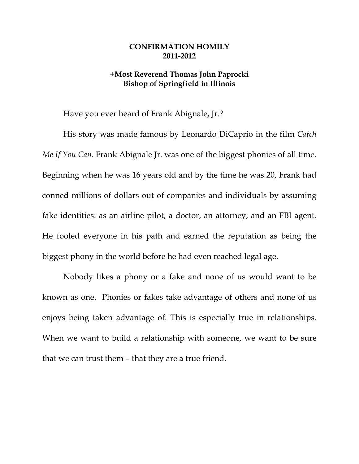## **CONFIRMATION HOMILY 2011-2012**

## **+Most Reverend Thomas John Paprocki Bishop of Springfield in Illinois**

Have you ever heard of Frank Abignale, Jr.?

His story was made famous by Leonardo DiCaprio in the film *Catch Me If You Can*. Frank Abignale Jr. was one of the biggest phonies of all time. Beginning when he was 16 years old and by the time he was 20, Frank had conned millions of dollars out of companies and individuals by assuming fake identities: as an airline pilot, a doctor, an attorney, and an FBI agent. He fooled everyone in his path and earned the reputation as being the biggest phony in the world before he had even reached legal age.

Nobody likes a phony or a fake and none of us would want to be known as one. Phonies or fakes take advantage of others and none of us enjoys being taken advantage of. This is especially true in relationships. When we want to build a relationship with someone, we want to be sure that we can trust them – that they are a true friend.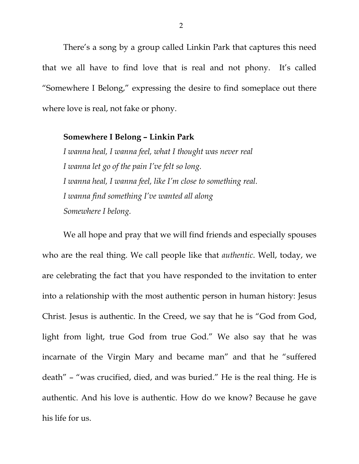There's a song by a group called Linkin Park that captures this need that we all have to find love that is real and not phony. It's called "Somewhere I Belong," expressing the desire to find someplace out there where love is real, not fake or phony.

## **Somewhere I Belong – Linkin Park**

*I wanna heal, I wanna feel, what I thought was never real I wanna let go of the pain I've felt so long. I wanna heal, I wanna feel, like I'm close to something real. I wanna find something I've wanted all along Somewhere I belong.*

We all hope and pray that we will find friends and especially spouses who are the real thing. We call people like that *authentic*. Well, today, we are celebrating the fact that you have responded to the invitation to enter into a relationship with the most authentic person in human history: Jesus Christ. Jesus is authentic. In the Creed, we say that he is "God from God, light from light, true God from true God." We also say that he was incarnate of the Virgin Mary and became man" and that he "suffered death" – "was crucified, died, and was buried." He is the real thing. He is authentic. And his love is authentic. How do we know? Because he gave his life for us.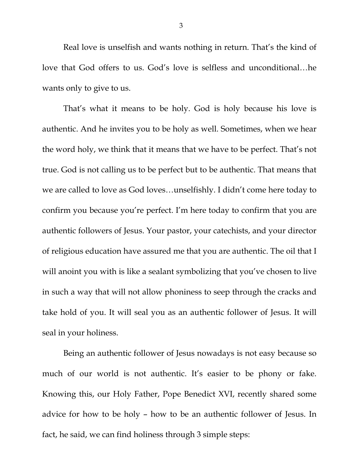Real love is unselfish and wants nothing in return. That's the kind of love that God offers to us. God's love is selfless and unconditional…he wants only to give to us.

That's what it means to be holy. God is holy because his love is authentic. And he invites you to be holy as well. Sometimes, when we hear the word holy, we think that it means that we have to be perfect. That's not true. God is not calling us to be perfect but to be authentic. That means that we are called to love as God loves…unselfishly. I didn't come here today to confirm you because you're perfect. I'm here today to confirm that you are authentic followers of Jesus. Your pastor, your catechists, and your director of religious education have assured me that you are authentic. The oil that I will anoint you with is like a sealant symbolizing that you've chosen to live in such a way that will not allow phoniness to seep through the cracks and take hold of you. It will seal you as an authentic follower of Jesus. It will seal in your holiness.

Being an authentic follower of Jesus nowadays is not easy because so much of our world is not authentic. It's easier to be phony or fake. Knowing this, our Holy Father, Pope Benedict XVI, recently shared some advice for how to be holy – how to be an authentic follower of Jesus. In fact, he said, we can find holiness through 3 simple steps:

3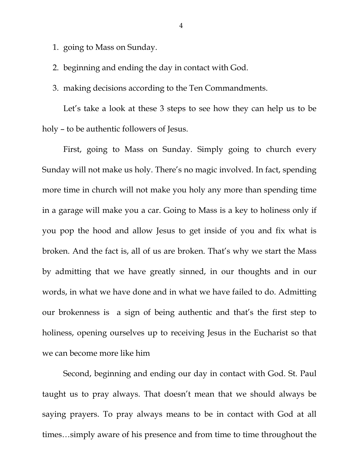- 1. going to Mass on Sunday.
- 2. beginning and ending the day in contact with God.
- 3. making decisions according to the Ten Commandments.

Let's take a look at these 3 steps to see how they can help us to be holy – to be authentic followers of Jesus.

First, going to Mass on Sunday. Simply going to church every Sunday will not make us holy. There's no magic involved. In fact, spending more time in church will not make you holy any more than spending time in a garage will make you a car. Going to Mass is a key to holiness only if you pop the hood and allow Jesus to get inside of you and fix what is broken. And the fact is, all of us are broken. That's why we start the Mass by admitting that we have greatly sinned, in our thoughts and in our words, in what we have done and in what we have failed to do. Admitting our brokenness is a sign of being authentic and that's the first step to holiness, opening ourselves up to receiving Jesus in the Eucharist so that we can become more like him

Second, beginning and ending our day in contact with God. St. Paul taught us to pray always. That doesn't mean that we should always be saying prayers. To pray always means to be in contact with God at all times…simply aware of his presence and from time to time throughout the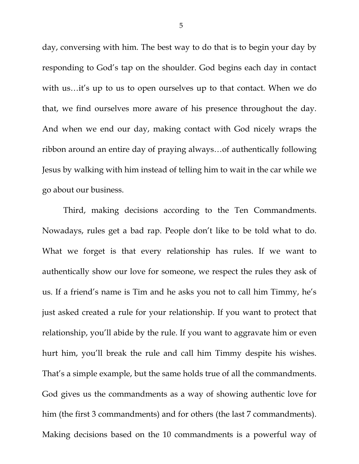day, conversing with him. The best way to do that is to begin your day by responding to God's tap on the shoulder. God begins each day in contact with us…it's up to us to open ourselves up to that contact. When we do that, we find ourselves more aware of his presence throughout the day. And when we end our day, making contact with God nicely wraps the ribbon around an entire day of praying always…of authentically following Jesus by walking with him instead of telling him to wait in the car while we go about our business.

Third, making decisions according to the Ten Commandments. Nowadays, rules get a bad rap. People don't like to be told what to do. What we forget is that every relationship has rules. If we want to authentically show our love for someone, we respect the rules they ask of us. If a friend's name is Tim and he asks you not to call him Timmy, he's just asked created a rule for your relationship. If you want to protect that relationship, you'll abide by the rule. If you want to aggravate him or even hurt him, you'll break the rule and call him Timmy despite his wishes. That's a simple example, but the same holds true of all the commandments. God gives us the commandments as a way of showing authentic love for him (the first 3 commandments) and for others (the last 7 commandments). Making decisions based on the 10 commandments is a powerful way of

5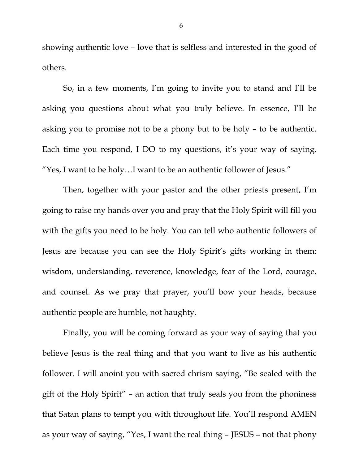showing authentic love – love that is selfless and interested in the good of others.

So, in a few moments, I'm going to invite you to stand and I'll be asking you questions about what you truly believe. In essence, I'll be asking you to promise not to be a phony but to be holy – to be authentic. Each time you respond, I DO to my questions, it's your way of saying, "Yes, I want to be holy…I want to be an authentic follower of Jesus."

Then, together with your pastor and the other priests present, I'm going to raise my hands over you and pray that the Holy Spirit will fill you with the gifts you need to be holy. You can tell who authentic followers of Jesus are because you can see the Holy Spirit's gifts working in them: wisdom, understanding, reverence, knowledge, fear of the Lord, courage, and counsel. As we pray that prayer, you'll bow your heads, because authentic people are humble, not haughty.

Finally, you will be coming forward as your way of saying that you believe Jesus is the real thing and that you want to live as his authentic follower. I will anoint you with sacred chrism saying, "Be sealed with the gift of the Holy Spirit" – an action that truly seals you from the phoniness that Satan plans to tempt you with throughout life. You'll respond AMEN as your way of saying, "Yes, I want the real thing – JESUS – not that phony